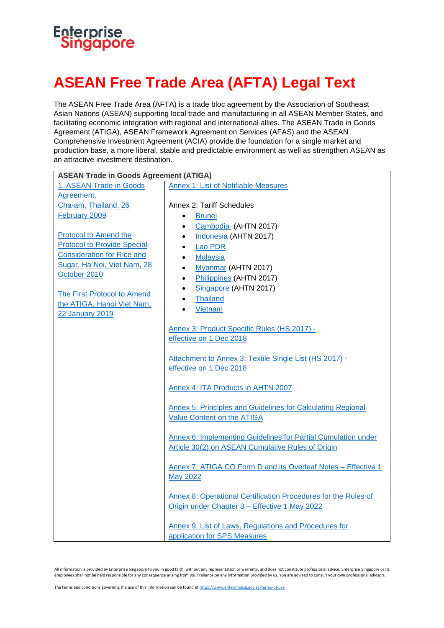## Enterprise<br>Singapore

## **ASEAN Free Trade Area (AFTA) Legal Text**

The ASEAN Free Trade Area (AFTA) is a trade bloc agreement by the Association of Southeast Asian Nations (ASEAN) supporting local trade and manufacturing in all ASEAN Member States, and facilitating economic integration with regional and international allies. The ASEAN Trade in Goods Agreement (ATIGA), ASEAN Framework Agreement on Services (AFAS) and the ASEAN Comprehensive Investment Agreement (ACIA) provide the foundation for a single market and production base, a more liberal, stable and predictable environment as well as strengthen ASEAN as an attractive investment destination.

| <b>ASEAN Trade in Goods Agreement (ATIGA)</b> |                                                                |
|-----------------------------------------------|----------------------------------------------------------------|
| 1. ASEAN Trade in Goods                       | <b>Annex 1: List of Notifiable Measures</b>                    |
| Agreement,                                    |                                                                |
| Cha-am, Thailand, 26                          | Annex 2: Tariff Schedules                                      |
| February 2009                                 | <b>Brunei</b>                                                  |
|                                               | Cambodia (AHTN 2017)<br>$\bullet$                              |
| Protocol to Amend the                         | Indonesia (AHTN 2017)<br>$\bullet$                             |
| <b>Protocol to Provide Special</b>            | Lao PDR                                                        |
| <b>Consideration for Rice and</b>             | <b>Malaysia</b>                                                |
| Sugar, Ha Noi, Viet Nam, 28                   | Myanmar (AHTN 2017)<br>$\bullet$                               |
| October 2010                                  | Philippines (AHTN 2017)                                        |
|                                               | Singapore (AHTN 2017)                                          |
| The First Protocol to Amend                   | <b>Thailand</b>                                                |
| the ATIGA, Hanoi Viet Nam,                    | Vietnam                                                        |
| <b>22 January 2019</b>                        |                                                                |
|                                               | Annex 3: Product Specific Rules (HS 2017) -                    |
|                                               | effective on 1 Dec 2018                                        |
|                                               |                                                                |
|                                               | Attachment to Annex 3: Textile Single List (HS 2017) -         |
|                                               | effective on 1 Dec 2018                                        |
|                                               |                                                                |
|                                               | Annex 4: ITA Products in AHTN 2007                             |
|                                               |                                                                |
|                                               | Annex 5: Principles and Guidelines for Calculating Regional    |
|                                               | <b>Value Content on the ATIGA</b>                              |
|                                               |                                                                |
|                                               | Annex 6: Implementing Guidelines for Partial Cumulation under  |
|                                               | Article 30(2) on ASEAN Cumulative Rules of Origin              |
|                                               | Annex 7: ATIGA CO Form D and its Overleaf Notes - Effective 1  |
|                                               | <b>May 2022</b>                                                |
|                                               |                                                                |
|                                               | Annex 8: Operational Certification Procedures for the Rules of |
|                                               | Origin under Chapter 3 - Effective 1 May 2022                  |
|                                               |                                                                |
|                                               | Annex 9: List of Laws, Regulations and Procedures for          |
|                                               | application for SPS Measures                                   |

All information is provided by Enterprise Singapore to you in good faith, without any representation or warranty, and does not constitute professional advice. Enterprise Singapore or its employees shall not be held responsible for any consequence arising from your reliance on any information provided by us. You are advised to consult your own professional advisors.